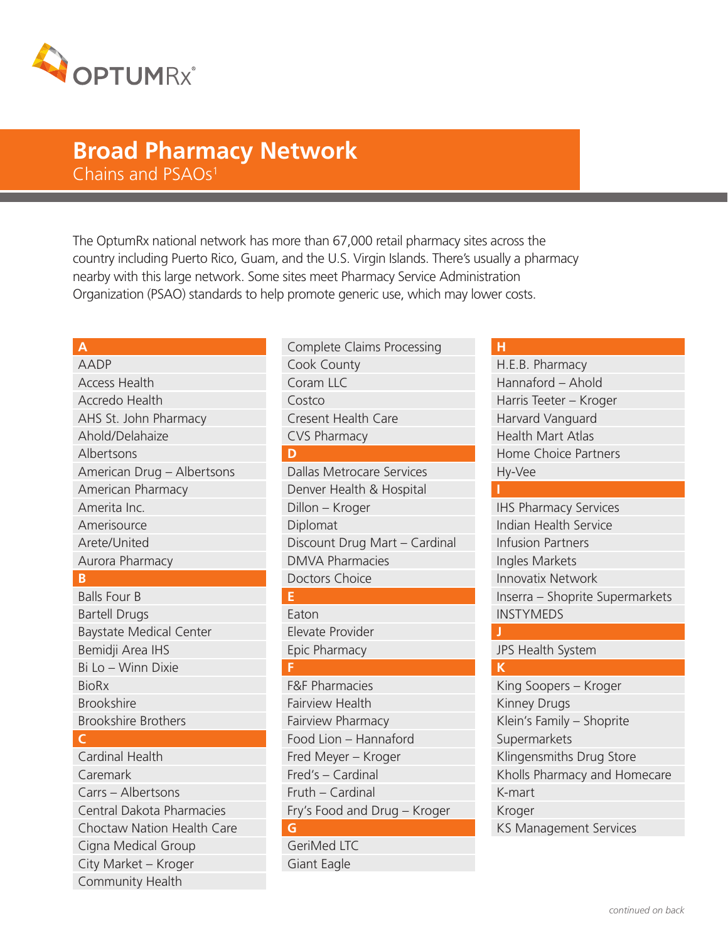

# Chains and PSAOs<sup>1</sup> **Broad Pharmacy Network**

The OptumRx national network has more than 67,000 retail pharmacy sites across the country including Puerto Rico, Guam, and the U.S. Virgin Islands. There's usually a pharmacy nearby with this large network. Some sites meet Pharmacy Service Administration Organization (PSAO) standards to help promote generic use, which may lower costs.

#### **A**

# AADP Access Health Accredo Health AHS St. John Pharmacy Ahold/Delahaize Albertsons American Drug – Albertsons American Pharmacy Amerita Inc. Amerisource Arete/United Aurora Pharmacy

#### **B**

Balls Four B Bartell Drugs Baystate Medical Center Bemidji Area IHS Bi Lo – Winn Dixie BioRx Brookshire Brookshire Brothers

#### **C**

Cardinal Health Caremark Carrs – Albertsons Central Dakota Pharmacies Choctaw Nation Health Care Cigna Medical Group City Market – Kroger Community Health

Complete Claims Processing Cook County Coram LLC Costco Cresent Health Care CVS Pharmacy **D** Dallas Metrocare Services Denver Health & Hospital Dillon – Kroger Diplomat Discount Drug Mart – Cardinal DMVA Pharmacies Doctors Choice **E** Eaton Elevate Provider Epic Pharmacy **F** F&F Pharmacies Fairview Health Fairview Pharmacy Food Lion – Hannaford Fred Meyer – Kroger Fred's – Cardinal Fruth – Cardinal

# Fry's Food and Drug – Kroger

# **G**

GeriMed LTC Giant Eagle

#### **H**

**I**

H.E.B. Pharmacy Hannaford – Ahold Harris Teeter – Kroger Harvard Vanguard Health Mart Atlas Home Choice Partners Hy-Vee

IHS Pharmacy Services Indian Health Service Infusion Partners Ingles Markets Innovatix Network Inserra – Shoprite Supermarkets **INSTYMEDS** 

### JPS Health System

**K** King Soopers – Kroger Kinney Drugs Klein's Family – Shoprite **Supermarkets** Klingensmiths Drug Store Kholls Pharmacy and Homecare K-mart Kroger KS Management Services